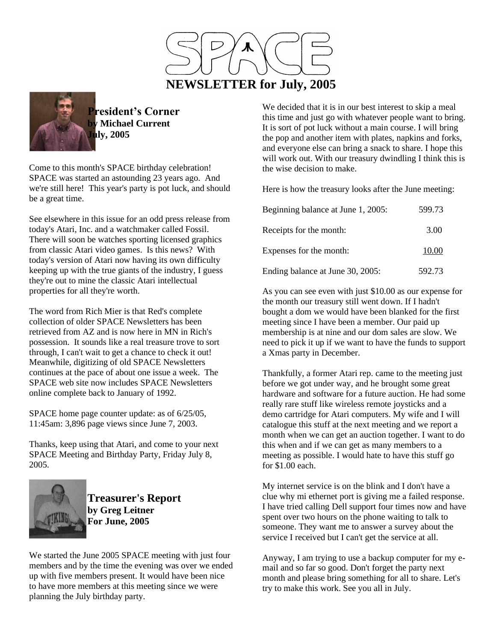



**President's Corner by Michael Current July, 2005**

Come to this month's SPACE birthday celebration! SPACE was started an astounding 23 years ago. And we're still here! This year's party is pot luck, and should be a great time.

See elsewhere in this issue for an odd press release from today's Atari, Inc. and a watchmaker called Fossil. There will soon be watches sporting licensed graphics from classic Atari video games. Is this news? With today's version of Atari now having its own difficulty keeping up with the true giants of the industry, I guess they're out to mine the classic Atari intellectual properties for all they're worth.

The word from Rich Mier is that Red's complete collection of older SPACE Newsletters has been retrieved from AZ and is now here in MN in Rich's possession. It sounds like a real treasure trove to sort through, I can't wait to get a chance to check it out! Meanwhile, digitizing of old SPACE Newsletters continues at the pace of about one issue a week. The SPACE web site now includes SPACE Newsletters online complete back to January of 1992.

SPACE home page counter update: as of 6/25/05, 11:45am: 3,896 page views since June 7, 2003.

Thanks, keep using that Atari, and come to your next SPACE Meeting and Birthday Party, Friday July 8, 2005.



**Treasurer's Report by Greg Leitner For June, 2005**

We started the June 2005 SPACE meeting with just four members and by the time the evening was over we ended up with five members present. It would have been nice to have more members at this meeting since we were planning the July birthday party.

We decided that it is in our best interest to skip a meal this time and just go with whatever people want to bring. It is sort of pot luck without a main course. I will bring the pop and another item with plates, napkins and forks, and everyone else can bring a snack to share. I hope this will work out. With our treasury dwindling I think this is the wise decision to make.

Here is how the treasury looks after the June meeting:

| Beginning balance at June 1, 2005: | 599.73 |
|------------------------------------|--------|
| Receipts for the month:            | 3.00   |
| Expenses for the month:            | 10.00  |
| Ending balance at June 30, 2005:   | 592.73 |

As you can see even with just \$10.00 as our expense for the month our treasury still went down. If I hadn't bought a dom we would have been blanked for the first meeting since I have been a member. Our paid up membership is at nine and our dom sales are slow. We need to pick it up if we want to have the funds to support a Xmas party in December.

Thankfully, a former Atari rep. came to the meeting just before we got under way, and he brought some great hardware and software for a future auction. He had some really rare stuff like wireless remote joysticks and a demo cartridge for Atari computers. My wife and I will catalogue this stuff at the next meeting and we report a month when we can get an auction together. I want to do this when and if we can get as many members to a meeting as possible. I would hate to have this stuff go for \$1.00 each.

My internet service is on the blink and I don't have a clue why mi ethernet port is giving me a failed response. I have tried calling Dell support four times now and have spent over two hours on the phone waiting to talk to someone. They want me to answer a survey about the service I received but I can't get the service at all.

Anyway, I am trying to use a backup computer for my email and so far so good. Don't forget the party next month and please bring something for all to share. Let's try to make this work. See you all in July.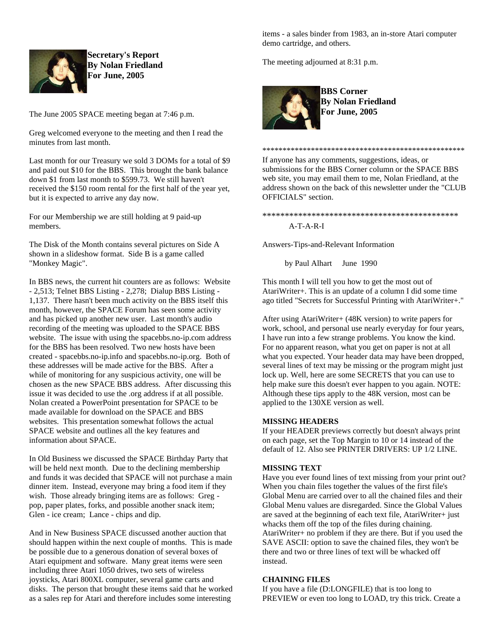

**Secretary's Report By Nolan Friedland For June, 2005**

The June 2005 SPACE meeting began at 7:46 p.m.

Greg welcomed everyone to the meeting and then I read the minutes from last month.

Last month for our Treasury we sold 3 DOMs for a total of \$9 and paid out \$10 for the BBS. This brought the bank balance down \$1 from last month to \$599.73. We still haven't received the \$150 room rental for the first half of the year yet, but it is expected to arrive any day now.

For our Membership we are still holding at 9 paid-up members.

The Disk of the Month contains several pictures on Side A shown in a slideshow format. Side B is a game called "Monkey Magic".

In BBS news, the current hit counters are as follows: Website - 2,513; Telnet BBS Listing - 2,278; Dialup BBS Listing - 1,137. There hasn't been much activity on the BBS itself this month, however, the SPACE Forum has seen some activity and has picked up another new user. Last month's audio recording of the meeting was uploaded to the SPACE BBS website. The issue with using the spacebbs.no-ip.com address for the BBS has been resolved. Two new hosts have been created - spacebbs.no-ip.info and spacebbs.no-ip.org. Both of these addresses will be made active for the BBS. After a while of monitoring for any suspicious activity, one will be chosen as the new SPACE BBS address. After discussing this issue it was decided to use the .org address if at all possible. Nolan created a PowerPoint presentation for SPACE to be made available for download on the SPACE and BBS websites. This presentation somewhat follows the actual SPACE website and outlines all the key features and information about SPACE.

In Old Business we discussed the SPACE Birthday Party that will be held next month. Due to the declining membership and funds it was decided that SPACE will not purchase a main dinner item. Instead, everyone may bring a food item if they wish. Those already bringing items are as follows: Greg pop, paper plates, forks, and possible another snack item; Glen - ice cream; Lance - chips and dip.

And in New Business SPACE discussed another auction that should happen within the next couple of months. This is made be possible due to a generous donation of several boxes of Atari equipment and software. Many great items were seen including three Atari 1050 drives, two sets of wireless joysticks, Atari 800XL computer, several game carts and disks. The person that brought these items said that he worked as a sales rep for Atari and therefore includes some interesting

items - a sales binder from 1983, an in-store Atari computer demo cartridge, and others.

The meeting adjourned at 8:31 p.m.



**BBS Corner By Nolan Friedland For June, 2005**

If anyone has any comments, suggestions, ideas, or submissions for the BBS Corner column or the SPACE BBS web site, you may email them to me, Nolan Friedland, at the address shown on the back of this newsletter under the "CLUB OFFICIALS" section.

\*\*\*\*\*\*\*\*\*\*\*\*\*\*\*\*\*\*\*\*\*\*\*\*\*\*\*\*\*\*\*\*\*\*\*\*\*\*\*\*\*\*\*\*\*\*\*\*\*\*

\*\*\*\*\*\*\*\*\*\*\*\*\*\*\*\*\*\*\*\*\*\*\*\*\*\*\*\*\*\*\*\*\*\*\*\*\*\*\*\*\*\*\*\*

A-T-A-R-I

Answers-Tips-and-Relevant Information

by Paul Alhart June 1990

This month I will tell you how to get the most out of AtariWriter+. This is an update of a column I did some time ago titled "Secrets for Successful Printing with AtariWriter+."

After using AtariWriter+ (48K version) to write papers for work, school, and personal use nearly everyday for four years, I have run into a few strange problems. You know the kind. For no apparent reason, what you get on paper is not at all what you expected. Your header data may have been dropped, several lines of text may be missing or the program might just lock up. Well, here are some SECRETS that you can use to help make sure this doesn't ever happen to you again. NOTE: Although these tips apply to the 48K version, most can be applied to the 130XE version as well.

## **MISSING HEADERS**

If your HEADER previews correctly but doesn't always print on each page, set the Top Margin to 10 or 14 instead of the default of 12. Also see PRINTER DRIVERS: UP 1/2 LINE.

## **MISSING TEXT**

Have you ever found lines of text missing from your print out? When you chain files together the values of the first file's Global Menu are carried over to all the chained files and their Global Menu values are disregarded. Since the Global Values are saved at the beginning of each text file, AtariWriter+ just whacks them off the top of the files during chaining. AtariWriter+ no problem if they are there. But if you used the SAVE ASCII: option to save the chained files, they won't be there and two or three lines of text will be whacked off instead.

## **CHAINING FILES**

If you have a file (D:LONGFILE) that is too long to PREVIEW or even too long to LOAD, try this trick. Create a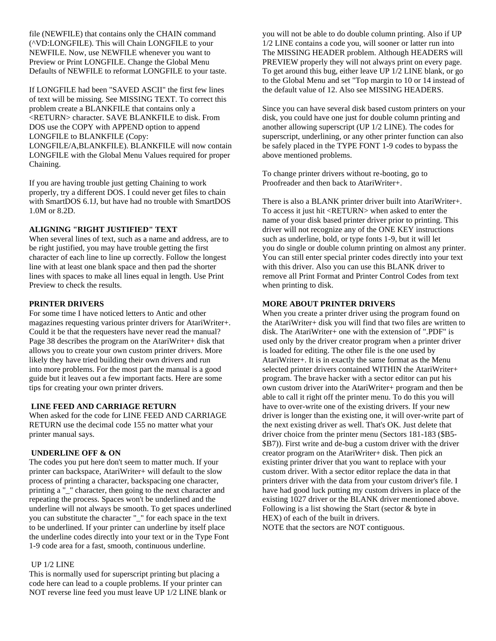file (NEWFILE) that contains only the CHAIN command (^VD:LONGFILE). This will Chain LONGFILE to your NEWFILE. Now, use NEWFILE whenever you want to Preview or Print LONGFILE. Change the Global Menu Defaults of NEWFILE to reformat LONGFILE to your taste.

If LONGFILE had been "SAVED ASCII" the first few lines of text will be missing. See MISSING TEXT. To correct this problem create a BLANKFILE that contains only a <RETURN> character. SAVE BLANKFILE to disk. From DOS use the COPY with APPEND option to append LONGFILE to BLANKFILE (Copy: LONGFILE/A,BLANKFILE). BLANKFILE will now contain LONGFILE with the Global Menu Values required for proper Chaining.

If you are having trouble just getting Chaining to work properly, try a different DOS. I could never get files to chain with SmartDOS 6.1J, but have had no trouble with SmartDOS 1.0M or 8.2D.

## **ALIGNING "RIGHT JUSTIFIED" TEXT**

When several lines of text, such as a name and address, are to be right justified, you may have trouble getting the first character of each line to line up correctly. Follow the longest line with at least one blank space and then pad the shorter lines with spaces to make all lines equal in length. Use Print Preview to check the results.

#### **PRINTER DRIVERS**

For some time I have noticed letters to Antic and other magazines requesting various printer drivers for AtariWriter+. Could it be that the requesters have never read the manual? Page 38 describes the program on the AtariWriter+ disk that allows you to create your own custom printer drivers. More likely they have tried building their own drivers and run into more problems. For the most part the manual is a good guide but it leaves out a few important facts. Here are some tips for creating your own printer drivers.

## **LINE FEED AND CARRIAGE RETURN**

When asked for the code for LINE FEED AND CARRIAGE RETURN use the decimal code 155 no matter what your printer manual says.

#### **UNDERLINE OFF & ON**

The codes you put here don't seem to matter much. If your printer can backspace, AtariWriter+ will default to the slow process of printing a character, backspacing one character, printing a "\_" character, then going to the next character and repeating the process. Spaces won't be underlined and the underline will not always be smooth. To get spaces underlined you can substitute the character "\_" for each space in the text to be underlined. If your printer can underline by itself place the underline codes directly into your text or in the Type Font 1-9 code area for a fast, smooth, continuous underline.

#### UP 1/2 LINE

This is normally used for superscript printing but placing a code here can lead to a couple problems. If your printer can NOT reverse line feed you must leave UP 1/2 LINE blank or you will not be able to do double column printing. Also if UP 1/2 LINE contains a code you, will sooner or latter run into The MISSING HEADER problem. Although HEADERS will PREVIEW properly they will not always print on every page. To get around this bug, either leave UP 1/2 LINE blank, or go to the Global Menu and set "Top margin to 10 or 14 instead of the default value of 12. Also see MISSING HEADERS.

Since you can have several disk based custom printers on your disk, you could have one just for double column printing and another allowing superscript (UP 1/2 LINE). The codes for superscript, underlining, or any other printer function can also be safely placed in the TYPE FONT 1-9 codes to bypass the above mentioned problems.

To change printer drivers without re-booting, go to Proofreader and then back to AtariWriter+.

There is also a BLANK printer driver built into AtariWriter+. To access it just hit <RETURN> when asked to enter the name of your disk based printer driver prior to printing. This driver will not recognize any of the ONE KEY instructions such as underline, bold, or type fonts 1-9, but it will let you do single or double column printing on almost any printer. You can still enter special printer codes directly into your text with this driver. Also you can use this BLANK driver to remove all Print Format and Printer Control Codes from text when printing to disk.

## **MORE ABOUT PRINTER DRIVERS**

When you create a printer driver using the program found on the AtariWriter+ disk you will find that two files are written to disk. The AtariWriter+ one with the extension of ".PDF" is used only by the driver creator program when a printer driver is loaded for editing. The other file is the one used by AtariWriter+. It is in exactly the same format as the Menu selected printer drivers contained WITHIN the AtariWriter+ program. The brave hacker with a sector editor can put his own custom driver into the AtariWriter+ program and then be able to call it right off the printer menu. To do this you will have to over-write one of the existing drivers. If your new driver is longer than the existing one, it will over-write part of the next existing driver as well. That's OK. Just delete that driver choice from the printer menu (Sectors 181-183 (\$B5- \$B7)). First write and de-bug a custom driver with the driver creator program on the AtariWriter+ disk. Then pick an existing printer driver that you want to replace with your custom driver. With a sector editor replace the data in that printers driver with the data from your custom driver's file. I have had good luck putting my custom drivers in place of the existing 1027 driver or the BLANK driver mentioned above. Following is a list showing the Start (sector & byte in HEX) of each of the built in drivers. NOTE that the sectors are NOT contiguous.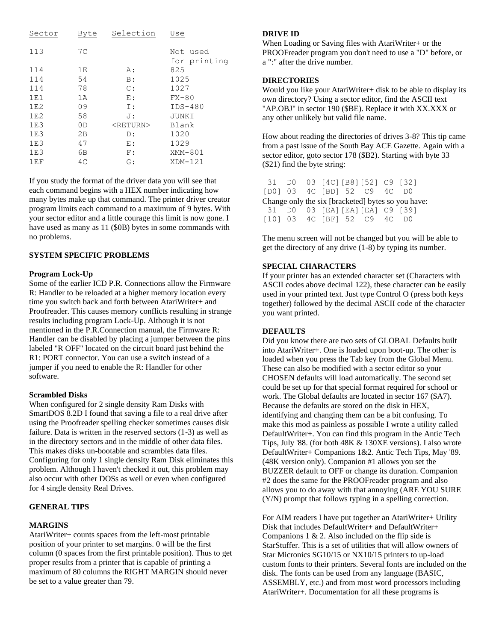| Sector | Byte           | Selection         | Use                      |
|--------|----------------|-------------------|--------------------------|
| 113    | 7 <sup>C</sup> |                   | Not used<br>for printing |
| 114    | 1E             | А:                | 825                      |
| 114    | 54             | B:                | 1025                     |
| 114    | 78             | $\mathbb{C}$ :    | 1027                     |
| 1E1    | 1A             | E:                | $FX-80$                  |
| 1E2    | 09             | Ι:                | $IDS-480$                |
| 1E2    | 58             | J:                | JUNKI                    |
| 1E3    | 0D             | <return></return> | Blank                    |
| 1E3    | 2B             | D:                | 1020                     |
| 1E3    | 47             | E:                | 1029                     |
| 1E3    | 6B             | F:                | XMM-801                  |
| 1EF    | 4C             | G:                | $XDM-121$                |

If you study the format of the driver data you will see that each command begins with a HEX number indicating how many bytes make up that command. The printer driver creator program limits each command to a maximum of 9 bytes. With your sector editor and a little courage this limit is now gone. I have used as many as 11 (\$0B) bytes in some commands with no problems.

## **SYSTEM SPECIFIC PROBLEMS**

## **Program Lock-Up**

Some of the earlier ICD P.R. Connections allow the Firmware R: Handler to be reloaded at a higher memory location every time you switch back and forth between AtariWriter+ and Proofreader. This causes memory conflicts resulting in strange results including program Lock-Up. Although it is not mentioned in the P.R.Connection manual, the Firmware R: Handler can be disabled by placing a jumper between the pins labeled "R OFF" located on the circuit board just behind the R1: PORT connector. You can use a switch instead of a jumper if you need to enable the R: Handler for other software.

#### **Scrambled Disks**

When configured for 2 single density Ram Disks with SmartDOS 8.2D I found that saving a file to a real drive after using the Proofreader spelling checker sometimes causes disk failure. Data is written in the reserved sectors (1-3) as well as in the directory sectors and in the middle of other data files. This makes disks un-bootable and scrambles data files. Configuring for only 1 single density Ram Disk eliminates this problem. Although I haven't checked it out, this problem may also occur with other DOSs as well or even when configured for 4 single density Real Drives.

## **GENERAL TIPS**

#### **MARGINS**

AtariWriter+ counts spaces from the left-most printable position of your printer to set margins. 0 will be the first column (0 spaces from the first printable position). Thus to get proper results from a printer that is capable of printing a maximum of 80 columns the RIGHT MARGIN should never be set to a value greater than 79.

#### **DRIVE ID**

When Loading or Saving files with AtariWriter+ or the PROOFreader program you don't need to use a "D" before, or a ":" after the drive number.

## **DIRECTORIES**

Would you like your AtariWriter+ disk to be able to display its own directory? Using a sector editor, find the ASCII text "AP.OBJ" in sector 190 (\$BE). Replace it with XX.XXX or any other unlikely but valid file name.

How about reading the directories of drives 3-8? This tip came from a past issue of the South Bay ACE Gazette. Again with a sector editor, goto sector 178 (\$B2). Starting with byte 33 (\$21) find the byte string:

|  | 31 D0 03 [4C] [B8] [52] C9 [32] |  |                                                    |  |
|--|---------------------------------|--|----------------------------------------------------|--|
|  | [D0] 03 4C [BD] 52 C9 4C D0     |  |                                                    |  |
|  |                                 |  | Change only the six [bracketed] bytes so you have: |  |
|  | 31 DO 03 [EA] [EA] [EA] C9 [39] |  |                                                    |  |
|  | [10] 03 4C [BF] 52 C9 4C D0     |  |                                                    |  |

The menu screen will not be changed but you will be able to get the directory of any drive (1-8) by typing its number.

## **SPECIAL CHARACTERS**

If your printer has an extended character set (Characters with ASCII codes above decimal 122), these character can be easily used in your printed text. Just type Control O (press both keys together) followed by the decimal ASCII code of the character you want printed.

#### **DEFAULTS**

Did you know there are two sets of GLOBAL Defaults built into AtariWriter+. One is loaded upon boot-up. The other is loaded when you press the Tab key from the Global Menu. These can also be modified with a sector editor so your CHOSEN defaults will load automatically. The second set could be set up for that special format required for school or work. The Global defaults are located in sector 167 (\$A7). Because the defaults are stored on the disk in HEX, identifying and changing them can be a bit confusing. To make this mod as painless as possible I wrote a utility called DefaultWriter+. You can find this program in the Antic Tech Tips, July '88. (for both 48K & 130XE versions). I also wrote DefaultWriter+ Companions 1&2. Antic Tech Tips, May '89. (48K version only). Companion #1 allows you set the BUZZER default to OFF or change its duration. Companion #2 does the same for the PROOFreader program and also allows you to do away with that annoying (ARE YOU SURE (Y/N) prompt that follows typing in a spelling correction.

For AIM readers I have put together an AtariWriter+ Utility Disk that includes DefaultWriter+ and DefaultWriter+ Companions  $1 \& 2$ . Also included on the flip side is StarStuffer. This is a set of utilities that will allow owners of Star Micronics SG10/15 or NX10/15 printers to up-load custom fonts to their printers. Several fonts are included on the disk. The fonts can be used from any language (BASIC, ASSEMBLY, etc.) and from most word processors including AtariWriter+. Documentation for all these programs is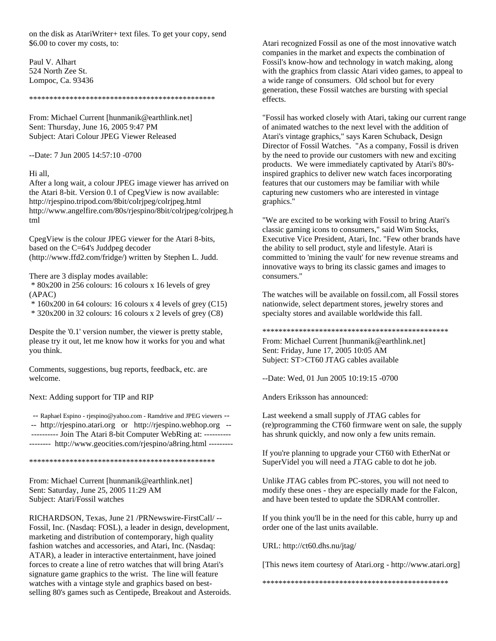on the disk as AtariWriter+ text files. To get your copy, send \$6.00 to cover my costs, to:

Paul V. Alhart 524 North Zee St. Lompoc, Ca. 93436

\*\*\*\*\*\*\*\*\*\*\*\*\*\*\*\*\*\*\*\*\*\*\*\*\*\*\*\*\*\*\*\*\*\*\*\*\*\*\*\*\*\*\*\*\*\*

From: Michael Current [hunmanik@earthlink.net] Sent: Thursday, June 16, 2005 9:47 PM Subject: Atari Colour JPEG Viewer Released

--Date: 7 Jun 2005 14:57:10 -0700

#### Hi all,

After a long wait, a colour JPEG image viewer has arrived on the Atari 8-bit. Version 0.1 of CpegView is now available: http://rjespino.tripod.com/8bit/colrjpeg/colrjpeg.html http://www.angelfire.com/80s/rjespino/8bit/colrjpeg/colrjpeg.h tml

CpegView is the colour JPEG viewer for the Atari 8-bits, based on the C=64's Juddpeg decoder (http://www.ffd2.com/fridge/) written by Stephen L. Judd.

There are 3 display modes available:

\* 80x200 in 256 colours: 16 colours x 16 levels of grey (APAC)

 $* 160x200$  in 64 colours: 16 colours x 4 levels of grey (C15)

\* 320x200 in 32 colours: 16 colours x 2 levels of grey (C8)

Despite the '0.1' version number, the viewer is pretty stable, please try it out, let me know how it works for you and what you think.

Comments, suggestions, bug reports, feedback, etc. are welcome.

Next: Adding support for TIP and RIP

-- Raphael Espino - rjespino@yahoo.com - Ramdrive and JPEG viewers -- -- http://rjespino.atari.org or http://rjespino.webhop.org -- ---------- Join The Atari 8-bit Computer WebRing at: ---------- -------- http://www.geocities.com/rjespino/a8ring.html ---------

\*\*\*\*\*\*\*\*\*\*\*\*\*\*\*\*\*\*\*\*\*\*\*\*\*\*\*\*\*\*\*\*\*\*\*\*\*\*\*\*\*\*\*\*\*\*

From: Michael Current [hunmanik@earthlink.net] Sent: Saturday, June 25, 2005 11:29 AM Subject: Atari/Fossil watches

RICHARDSON, Texas, June 21 /PRNewswire-FirstCall/ -- Fossil, Inc. (Nasdaq: FOSL), a leader in design, development, marketing and distribution of contemporary, high quality fashion watches and accessories, and Atari, Inc. (Nasdaq: ATAR), a leader in interactive entertainment, have joined forces to create a line of retro watches that will bring Atari's signature game graphics to the wrist. The line will feature watches with a vintage style and graphics based on bestselling 80's games such as Centipede, Breakout and Asteroids. Atari recognized Fossil as one of the most innovative watch companies in the market and expects the combination of Fossil's know-how and technology in watch making, along with the graphics from classic Atari video games, to appeal to a wide range of consumers. Old school but for every generation, these Fossil watches are bursting with special effects.

"Fossil has worked closely with Atari, taking our current range of animated watches to the next level with the addition of Atari's vintage graphics," says Karen Schuback, Design Director of Fossil Watches. "As a company, Fossil is driven by the need to provide our customers with new and exciting products. We were immediately captivated by Atari's 80'sinspired graphics to deliver new watch faces incorporating features that our customers may be familiar with while capturing new customers who are interested in vintage graphics."

"We are excited to be working with Fossil to bring Atari's classic gaming icons to consumers," said Wim Stocks, Executive Vice President, Atari, Inc. "Few other brands have the ability to sell product, style and lifestyle. Atari is committed to 'mining the vault' for new revenue streams and innovative ways to bring its classic games and images to consumers."

The watches will be available on fossil.com, all Fossil stores nationwide, select department stores, jewelry stores and specialty stores and available worldwide this fall.

\*\*\*\*\*\*\*\*\*\*\*\*\*\*\*\*\*\*\*\*\*\*\*\*\*\*\*\*\*\*\*\*\*\*\*\*\*\*\*\*\*\*\*\*\*\*

From: Michael Current [hunmanik@earthlink.net] Sent: Friday, June 17, 2005 10:05 AM Subject: ST>CT60 JTAG cables available

--Date: Wed, 01 Jun 2005 10:19:15 -0700

Anders Eriksson has announced:

Last weekend a small supply of JTAG cables for (re)programming the CT60 firmware went on sale, the supply has shrunk quickly, and now only a few units remain.

If you're planning to upgrade your CT60 with EtherNat or SuperVidel you will need a JTAG cable to dot he job.

Unlike JTAG cables from PC-stores, you will not need to modify these ones - they are especially made for the Falcon, and have been tested to update the SDRAM controller.

If you think you'll be in the need for this cable, hurry up and order one of the last units available.

URL: http://ct60.dhs.nu/jtag/

[This news item courtesy of Atari.org - http://www.atari.org]

\*\*\*\*\*\*\*\*\*\*\*\*\*\*\*\*\*\*\*\*\*\*\*\*\*\*\*\*\*\*\*\*\*\*\*\*\*\*\*\*\*\*\*\*\*\*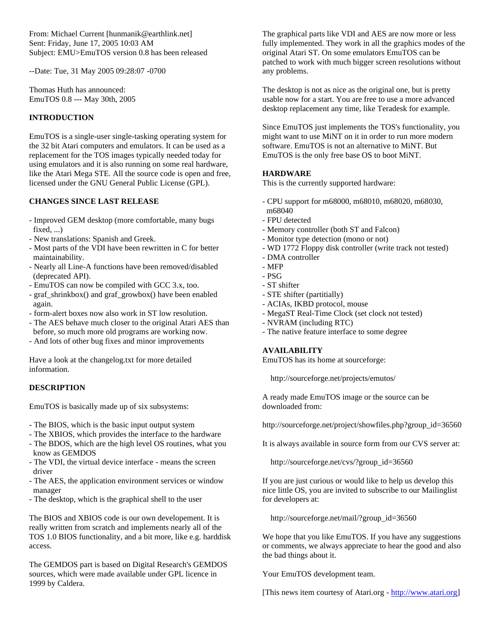From: Michael Current [hunmanik@earthlink.net] Sent: Friday, June 17, 2005 10:03 AM Subject: EMU>EmuTOS version 0.8 has been released

--Date: Tue, 31 May 2005 09:28:07 -0700

Thomas Huth has announced: EmuTOS 0.8 --- May 30th, 2005

## **INTRODUCTION**

EmuTOS is a single-user single-tasking operating system for the 32 bit Atari computers and emulators. It can be used as a replacement for the TOS images typically needed today for using emulators and it is also running on some real hardware, like the Atari Mega STE. All the source code is open and free, licensed under the GNU General Public License (GPL).

# **CHANGES SINCE LAST RELEASE**

- Improved GEM desktop (more comfortable, many bugs fixed, ...)
- New translations: Spanish and Greek.
- Most parts of the VDI have been rewritten in C for better maintainability.
- Nearly all Line-A functions have been removed/disabled (deprecated API).
- EmuTOS can now be compiled with GCC 3.x, too.
- graf shrinkbox() and graf growbox() have been enabled again.
- form-alert boxes now also work in ST low resolution.
- The AES behave much closer to the original Atari AES than before, so much more old programs are working now.
- And lots of other bug fixes and minor improvements

Have a look at the changelog.txt for more detailed information.

# **DESCRIPTION**

EmuTOS is basically made up of six subsystems:

- The BIOS, which is the basic input output system
- The XBIOS, which provides the interface to the hardware
- The BDOS, which are the high level OS routines, what you know as GEMDOS
- The VDI, the virtual device interface means the screen driver
- The AES, the application environment services or window manager
- The desktop, which is the graphical shell to the user

The BIOS and XBIOS code is our own developement. It is really written from scratch and implements nearly all of the TOS 1.0 BIOS functionality, and a bit more, like e.g. harddisk access.

The GEMDOS part is based on Digital Research's GEMDOS sources, which were made available under GPL licence in 1999 by Caldera.

The graphical parts like VDI and AES are now more or less fully implemented. They work in all the graphics modes of the original Atari ST. On some emulators EmuTOS can be patched to work with much bigger screen resolutions without any problems.

The desktop is not as nice as the original one, but is pretty usable now for a start. You are free to use a more advanced desktop replacement any time, like Teradesk for example.

Since EmuTOS just implements the TOS's functionality, you might want to use MiNT on it in order to run more modern software. EmuTOS is not an alternative to MiNT. But EmuTOS is the only free base OS to boot MiNT.

# **HARDWARE**

This is the currently supported hardware:

- CPU support for m68000, m68010, m68020, m68030, m68040
- FPU detected
- Memory controller (both ST and Falcon)
- Monitor type detection (mono or not)
- WD 1772 Floppy disk controller (write track not tested)
- DMA controller
- MFP
- PSG
- ST shifter
- STE shifter (partitially)
- ACIAs, IKBD protocol, mouse
- MegaST Real-Time Clock (set clock not tested)
- NVRAM (including RTC)
- The native feature interface to some degree

## **AVAILABILITY**

EmuTOS has its home at sourceforge:

http://sourceforge.net/projects/emutos/

A ready made EmuTOS image or the source can be downloaded from:

http://sourceforge.net/project/showfiles.php?group\_id=36560

It is always available in source form from our CVS server at:

http://sourceforge.net/cvs/?group\_id=36560

If you are just curious or would like to help us develop this nice little OS, you are invited to subscribe to our Mailinglist for developers at:

http://sourceforge.net/mail/?group\_id=36560

We hope that you like EmuTOS. If you have any suggestions or comments, we always appreciate to hear the good and also the bad things about it.

Your EmuTOS development team.

[This news item courtesy of Atari.org - [http://www.atari.org\]](http://www.atari.org/)